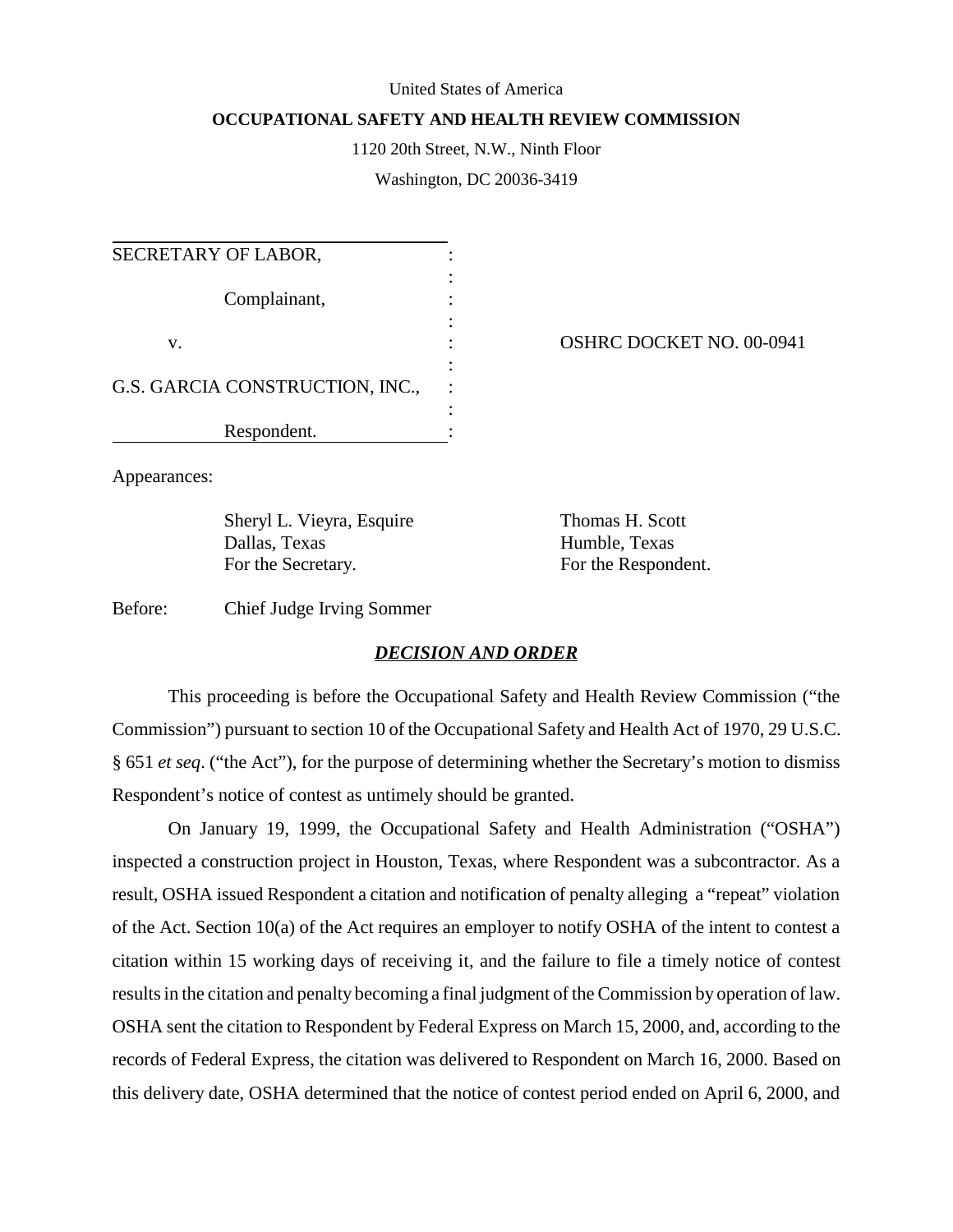#### United States of America

### **OCCUPATIONAL SAFETY AND HEALTH REVIEW COMMISSION**

1120 20th Street, N.W., Ninth Floor

Washington, DC 20036-3419

| SECRETARY OF LABOR,             |  |
|---------------------------------|--|
| Complainant,                    |  |
| v.                              |  |
| G.S. GARCIA CONSTRUCTION, INC., |  |
| Respondent.                     |  |

OSHRC DOCKET NO. 00-0941

Appearances:

Sheryl L. Vieyra, Esquire Thomas H. Scott Dallas, Texas Humble, Texas For the Secretary. For the Respondent.

Before: Chief Judge Irving Sommer

# *DECISION AND ORDER*

This proceeding is before the Occupational Safety and Health Review Commission ("the Commission") pursuant to section 10 of the Occupational Safety and Health Act of 1970, 29 U.S.C. § 651 *et seq*. ("the Act"), for the purpose of determining whether the Secretary's motion to dismiss Respondent's notice of contest as untimely should be granted.

On January 19, 1999, the Occupational Safety and Health Administration ("OSHA") inspected a construction project in Houston, Texas, where Respondent was a subcontractor. As a result, OSHA issued Respondent a citation and notification of penalty alleging a "repeat" violation of the Act. Section 10(a) of the Act requires an employer to notify OSHA of the intent to contest a citation within 15 working days of receiving it, and the failure to file a timely notice of contest results in the citation and penalty becoming a final judgment of the Commission by operation of law. OSHA sent the citation to Respondent by Federal Express on March 15, 2000, and, according to the records of Federal Express, the citation was delivered to Respondent on March 16, 2000. Based on this delivery date, OSHA determined that the notice of contest period ended on April 6, 2000, and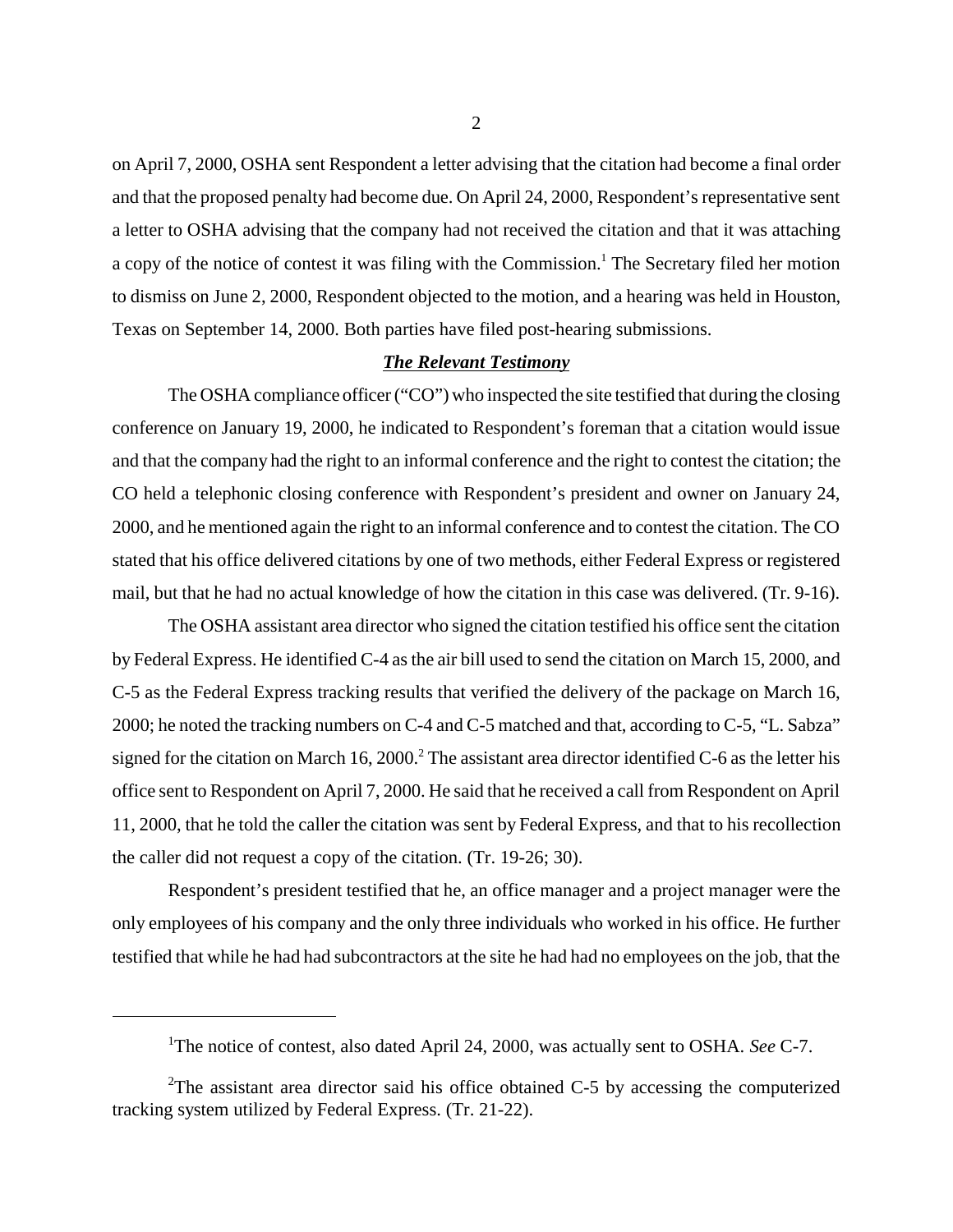on April 7, 2000, OSHA sent Respondent a letter advising that the citation had become a final order and that the proposed penalty had become due. On April 24, 2000, Respondent's representative sent a letter to OSHA advising that the company had not received the citation and that it was attaching a copy of the notice of contest it was filing with the Commission.<sup>1</sup> The Secretary filed her motion to dismiss on June 2, 2000, Respondent objected to the motion, and a hearing was held in Houston, Texas on September 14, 2000. Both parties have filed post-hearing submissions.

# *The Relevant Testimony*

The OSHA compliance officer ("CO") who inspected the site testified that during the closing conference on January 19, 2000, he indicated to Respondent's foreman that a citation would issue and that the company had the right to an informal conference and the right to contest the citation; the CO held a telephonic closing conference with Respondent's president and owner on January 24, 2000, and he mentioned again the right to an informal conference and to contest the citation. The CO stated that his office delivered citations by one of two methods, either Federal Express or registered mail, but that he had no actual knowledge of how the citation in this case was delivered. (Tr. 9-16).

The OSHA assistant area director who signed the citation testified his office sent the citation by Federal Express. He identified C-4 as the air bill used to send the citation on March 15, 2000, and C-5 as the Federal Express tracking results that verified the delivery of the package on March 16, 2000; he noted the tracking numbers on C-4 and C-5 matched and that, according to C-5, "L. Sabza" signed for the citation on March 16, 2000.<sup>2</sup> The assistant area director identified C-6 as the letter his office sent to Respondent on April 7, 2000. He said that he received a call from Respondent on April 11, 2000, that he told the caller the citation was sent by Federal Express, and that to his recollection the caller did not request a copy of the citation. (Tr. 19-26; 30).

Respondent's president testified that he, an office manager and a project manager were the only employees of his company and the only three individuals who worked in his office. He further testified that while he had had subcontractors at the site he had had no employees on the job, that the

<sup>&</sup>lt;sup>1</sup>The notice of contest, also dated April 24, 2000, was actually sent to OSHA. *See* C-7.

<sup>&</sup>lt;sup>2</sup>The assistant area director said his office obtained C-5 by accessing the computerized tracking system utilized by Federal Express. (Tr. 21-22).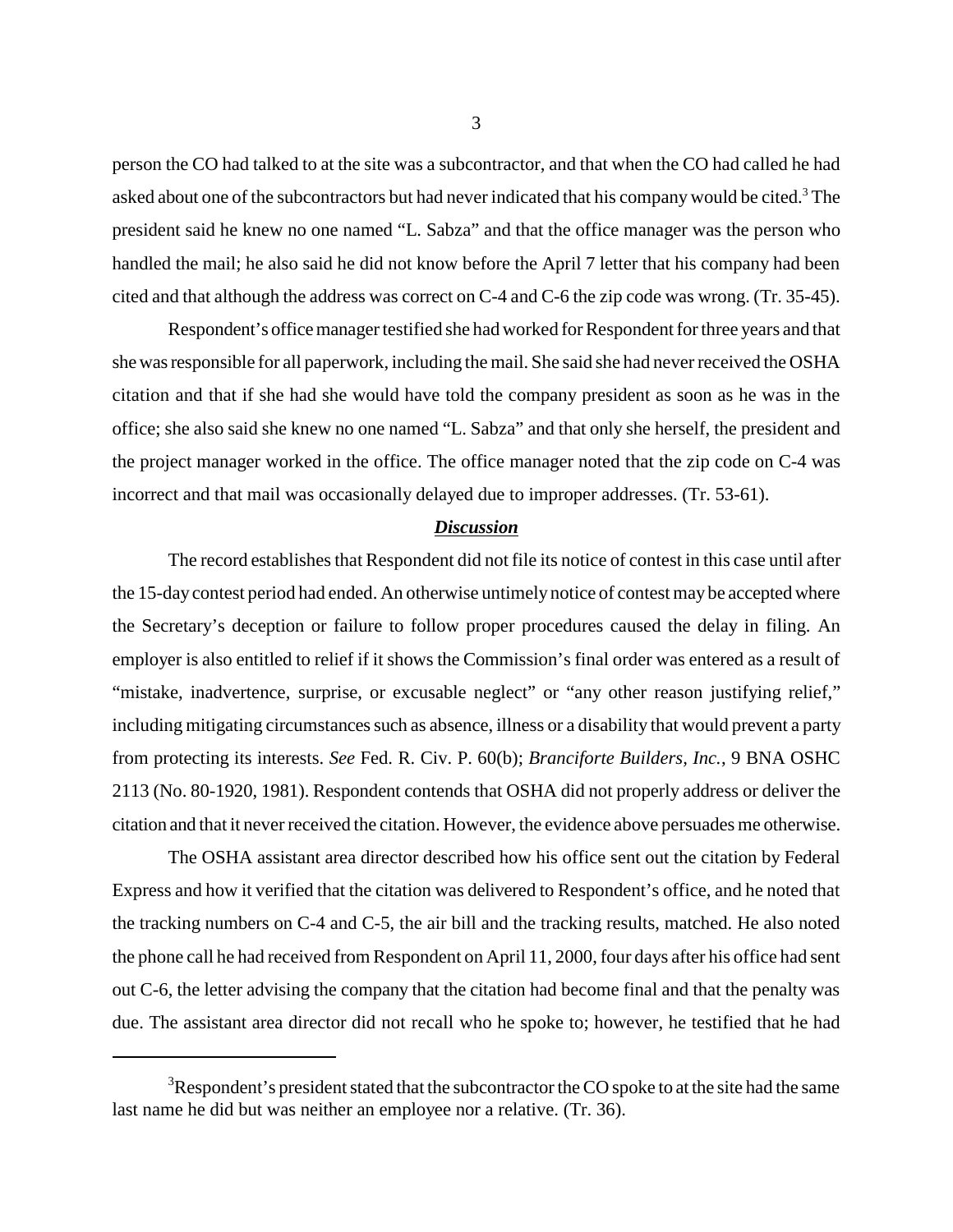person the CO had talked to at the site was a subcontractor, and that when the CO had called he had asked about one of the subcontractors but had never indicated that his company would be cited.<sup>3</sup> The president said he knew no one named "L. Sabza" and that the office manager was the person who handled the mail; he also said he did not know before the April 7 letter that his company had been cited and that although the address was correct on C-4 and C-6 the zip code was wrong. (Tr. 35-45).

Respondent's office manager testified she had worked for Respondent for three years and that she was responsible for all paperwork, including the mail. She said she had never received the OSHA citation and that if she had she would have told the company president as soon as he was in the office; she also said she knew no one named "L. Sabza" and that only she herself, the president and the project manager worked in the office. The office manager noted that the zip code on C-4 was incorrect and that mail was occasionally delayed due to improper addresses. (Tr. 53-61).

#### *Discussion*

The record establishes that Respondent did not file its notice of contest in this case until after the 15-day contest period had ended. An otherwise untimely notice of contest may be accepted where the Secretary's deception or failure to follow proper procedures caused the delay in filing. An employer is also entitled to relief if it shows the Commission's final order was entered as a result of "mistake, inadvertence, surprise, or excusable neglect" or "any other reason justifying relief," including mitigating circumstances such as absence, illness or a disability that would prevent a party from protecting its interests. *See* Fed. R. Civ. P. 60(b); *Branciforte Builders, Inc.*, 9 BNA OSHC 2113 (No. 80-1920, 1981). Respondent contends that OSHA did not properly address or deliver the citation and that it never received the citation. However, the evidence above persuades me otherwise.

The OSHA assistant area director described how his office sent out the citation by Federal Express and how it verified that the citation was delivered to Respondent's office, and he noted that the tracking numbers on C-4 and C-5, the air bill and the tracking results, matched. He also noted the phone call he had received from Respondent on April 11, 2000, four days after his office had sent out C-6, the letter advising the company that the citation had become final and that the penalty was due. The assistant area director did not recall who he spoke to; however, he testified that he had

 $3$ Respondent's president stated that the subcontractor the CO spoke to at the site had the same last name he did but was neither an employee nor a relative. (Tr. 36).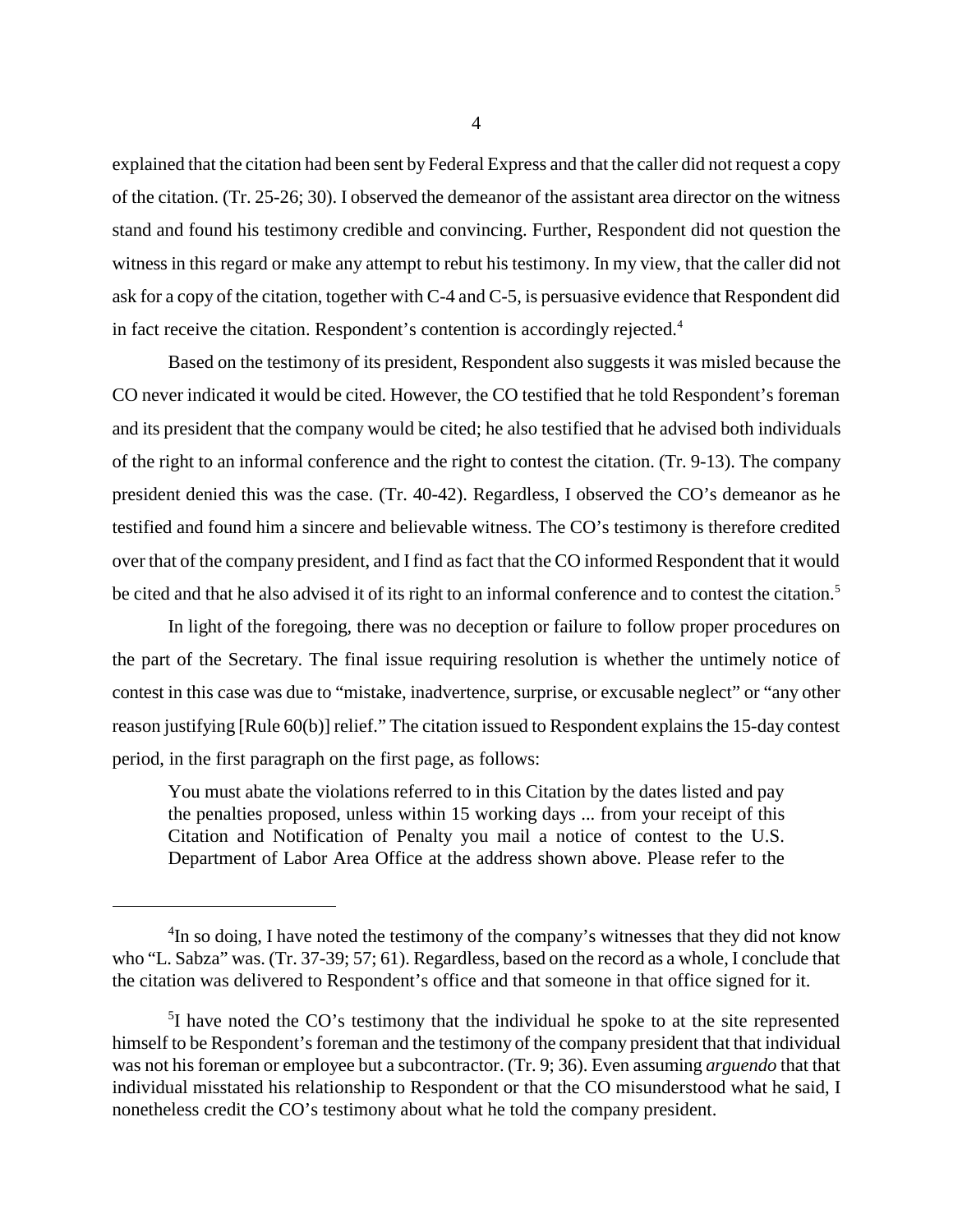explained that the citation had been sent by Federal Express and that the caller did not request a copy of the citation. (Tr. 25-26; 30). I observed the demeanor of the assistant area director on the witness stand and found his testimony credible and convincing. Further, Respondent did not question the witness in this regard or make any attempt to rebut his testimony. In my view, that the caller did not ask for a copy of the citation, together with C-4 and C-5, is persuasive evidence that Respondent did in fact receive the citation. Respondent's contention is accordingly rejected.<sup>4</sup>

Based on the testimony of its president, Respondent also suggests it was misled because the CO never indicated it would be cited. However, the CO testified that he told Respondent's foreman and its president that the company would be cited; he also testified that he advised both individuals of the right to an informal conference and the right to contest the citation. (Tr. 9-13). The company president denied this was the case. (Tr. 40-42). Regardless, I observed the CO's demeanor as he testified and found him a sincere and believable witness. The CO's testimony is therefore credited over that of the company president, and I find as fact that the CO informed Respondent that it would be cited and that he also advised it of its right to an informal conference and to contest the citation.<sup>5</sup>

In light of the foregoing, there was no deception or failure to follow proper procedures on the part of the Secretary. The final issue requiring resolution is whether the untimely notice of contest in this case was due to "mistake, inadvertence, surprise, or excusable neglect" or "any other reason justifying [Rule 60(b)] relief." The citation issued to Respondent explains the 15-day contest period, in the first paragraph on the first page, as follows:

You must abate the violations referred to in this Citation by the dates listed and pay the penalties proposed, unless within 15 working days ... from your receipt of this Citation and Notification of Penalty you mail a notice of contest to the U.S. Department of Labor Area Office at the address shown above. Please refer to the

<sup>&</sup>lt;sup>4</sup>In so doing, I have noted the testimony of the company's witnesses that they did not know who "L. Sabza" was. (Tr. 37-39; 57; 61). Regardless, based on the record as a whole, I conclude that the citation was delivered to Respondent's office and that someone in that office signed for it.

<sup>&</sup>lt;sup>5</sup>I have noted the CO's testimony that the individual he spoke to at the site represented himself to be Respondent's foreman and the testimony of the company president that that individual was not his foreman or employee but a subcontractor. (Tr. 9; 36). Even assuming *arguendo* that that individual misstated his relationship to Respondent or that the CO misunderstood what he said, I nonetheless credit the CO's testimony about what he told the company president.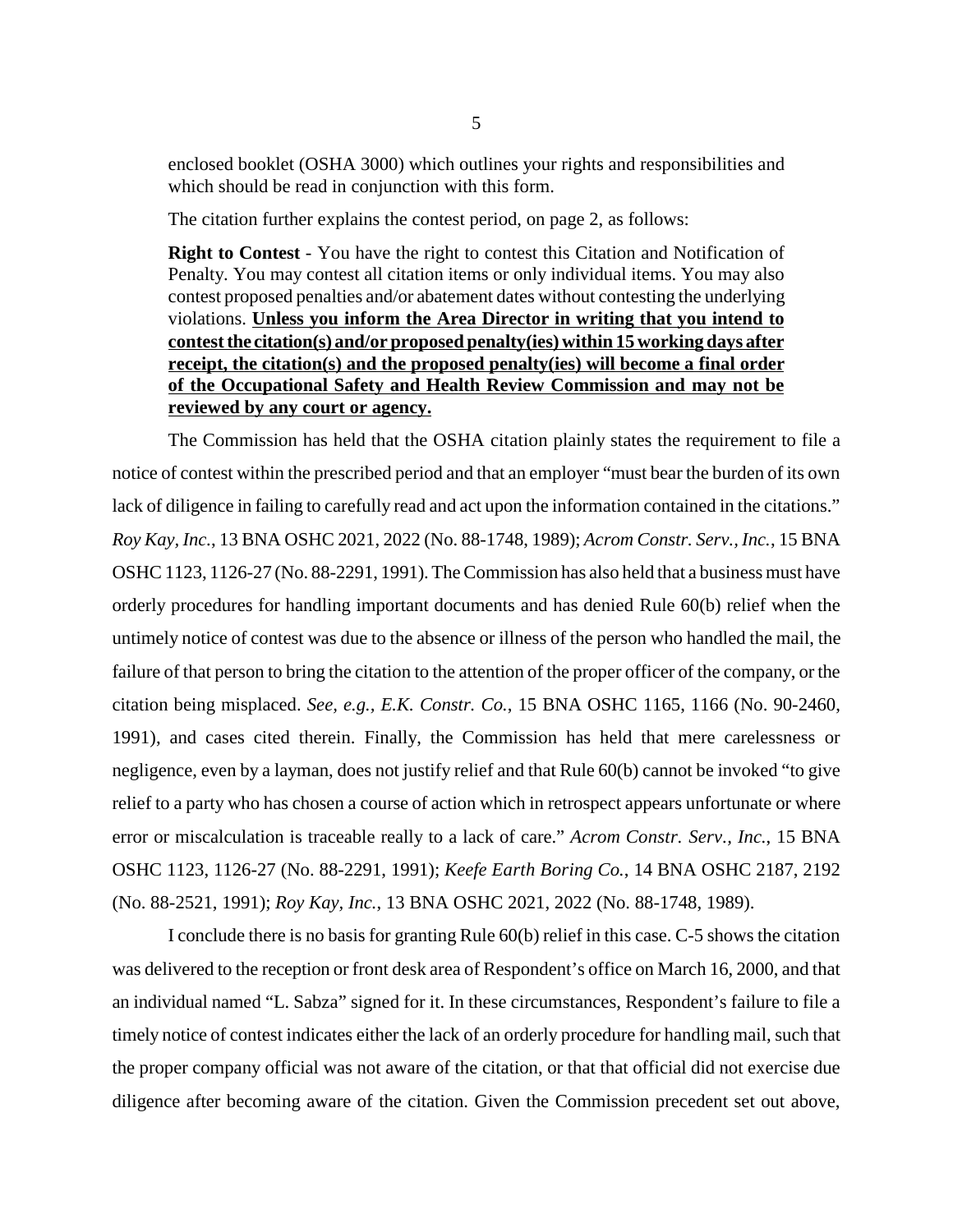enclosed booklet (OSHA 3000) which outlines your rights and responsibilities and which should be read in conjunction with this form.

The citation further explains the contest period, on page 2, as follows:

**Right to Contest** - You have the right to contest this Citation and Notification of Penalty. You may contest all citation items or only individual items. You may also contest proposed penalties and/or abatement dates without contesting the underlying violations. **Unless you inform the Area Director in writing that you intend to contest the citation(s) and/or proposed penalty(ies) within 15 working days after receipt, the citation(s) and the proposed penalty(ies) will become a final order of the Occupational Safety and Health Review Commission and may not be reviewed by any court or agency.**

The Commission has held that the OSHA citation plainly states the requirement to file a notice of contest within the prescribed period and that an employer "must bear the burden of its own lack of diligence in failing to carefully read and act upon the information contained in the citations." *Roy Kay, Inc.*, 13 BNA OSHC 2021, 2022 (No. 88-1748, 1989); *Acrom Constr. Serv., Inc.*, 15 BNA OSHC 1123, 1126-27 (No. 88-2291, 1991). The Commission has also held that a business must have orderly procedures for handling important documents and has denied Rule 60(b) relief when the untimely notice of contest was due to the absence or illness of the person who handled the mail, the failure of that person to bring the citation to the attention of the proper officer of the company, or the citation being misplaced. *See, e.g., E.K. Constr. Co.*, 15 BNA OSHC 1165, 1166 (No. 90-2460, 1991), and cases cited therein. Finally, the Commission has held that mere carelessness or negligence, even by a layman, does not justify relief and that Rule 60(b) cannot be invoked "to give relief to a party who has chosen a course of action which in retrospect appears unfortunate or where error or miscalculation is traceable really to a lack of care." *Acrom Constr. Serv., Inc.*, 15 BNA OSHC 1123, 1126-27 (No. 88-2291, 1991); *Keefe Earth Boring Co.*, 14 BNA OSHC 2187, 2192 (No. 88-2521, 1991); *Roy Kay, Inc.*, 13 BNA OSHC 2021, 2022 (No. 88-1748, 1989).

I conclude there is no basis for granting Rule 60(b) relief in this case. C-5 shows the citation was delivered to the reception or front desk area of Respondent's office on March 16, 2000, and that an individual named "L. Sabza" signed for it. In these circumstances, Respondent's failure to file a timely notice of contest indicates either the lack of an orderly procedure for handling mail, such that the proper company official was not aware of the citation, or that that official did not exercise due diligence after becoming aware of the citation. Given the Commission precedent set out above,